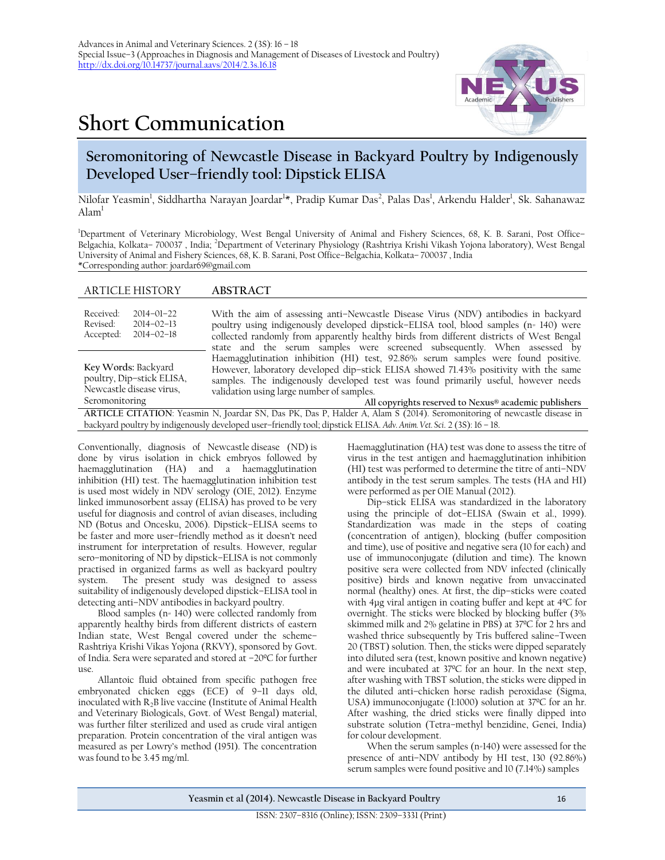## **Short Communication**

ARTICLE HISTORY **ABSTRACT**



## **Seromonitoring of Newcastle Disease in Backyard Poultry by Indigenously Developed User–friendly tool: Dipstick ELISA**

Nilofar Yeasmin<sup>1</sup>, Siddhartha Narayan Joardar<sup>1</sup>\*, Pradip Kumar Das<sup>2</sup>, Palas Das<sup>1</sup>, Arkendu Halder<sup>1</sup>, Sk. Sahanawaz Alam<sup>1</sup>

<sup>1</sup>Department of Veterinary Microbiology, West Bengal University of Animal and Fishery Sciences, 68, K. B. Sarani, Post Office– Belgachia, Kolkata– 700037 , India; <sup>2</sup>Department of Veterinary Physiology (Rashtriya Krishi Vikash Yojona laboratory), West Bengal University of Animal and Fishery Sciences, 68, K. B. Sarani, Post Office–Belgachia, Kolkata– 700037 , India \*Corresponding author: [joardar69@gmail.com](mailto:joardar69@gmail.com)

|                                                                                                | 110011101                                                                                                                                                                                                                                                                                                                                                             |
|------------------------------------------------------------------------------------------------|-----------------------------------------------------------------------------------------------------------------------------------------------------------------------------------------------------------------------------------------------------------------------------------------------------------------------------------------------------------------------|
| Received:<br>$2014 - 01 - 22$<br>Revised:<br>$2014 - 02 - 13$<br>Accepted:<br>$2014 - 02 - 18$ | With the aim of assessing anti-Newcastle Disease Virus (NDV) antibodies in backyard<br>poultry using indigenously developed dipstick-ELISA tool, blood samples (n= 140) were<br>collected randomly from apparently healthy birds from different districts of West Bengal<br>state and the serum samples were screened subsequently. When assessed by                  |
| Key Words: Backyard<br>poultry, Dip-stick ELISA,<br>Newcastle disease virus,<br>Seromonitoring | Haemagglutination inhibition (HI) test, 92.86% serum samples were found positive.<br>However, laboratory developed dip-stick ELISA showed 71.43% positivity with the same<br>samples. The indigenously developed test was found primarily useful, however needs<br>validation using large number of samples.<br>All copyrights reserved to Nexus® academic publishers |
|                                                                                                | ARTICLE CITATION: Yeasmin N, Joardar SN, Das PK, Das P, Halder A, Alam S (2014). Seromonitoring of newcastle disease in                                                                                                                                                                                                                                               |
|                                                                                                | backyard poultry by indigenously developed user-friendly tool; dipstick ELISA. Adv. Anim. Vet. Sci. 2 (3S): 16 - 18.                                                                                                                                                                                                                                                  |

Conventionally, diagnosis of Newcastle disease (ND) is done by virus isolation in chick embryos followed by haemagglutination (HA) and a haemagglutination inhibition (HI) test. The haemagglutination inhibition test is used most widely in NDV serology (OIE, 2012). Enzyme linked immunosorbent assay (ELISA) has proved to be very useful for diagnosis and control of avian diseases, including ND (Botus and Oncesku, 2006). Dipstick–ELISA seems to be faster and more user–friendly method as it doesn't need instrument for interpretation of results. However, regular sero–monitoring of ND by dipstick–ELISA is not commonly practised in organized farms as well as backyard poultry The present study was designed to assess suitability of indigenously developed dipstick–ELISA tool in detecting anti–NDV antibodies in backyard poultry.

Blood samples (n= 140) were collected randomly from apparently healthy birds from different districts of eastern Indian state, West Bengal covered under the scheme– Rashtriya Krishi Vikas Yojona (RKVY), sponsored by Govt. of India. Sera were separated and stored at –20ºC for further use.

Allantoic fluid obtained from specific pathogen free embryonated chicken eggs (ECE) of 9–11 days old, inoculated with  $R_2B$  live vaccine (Institute of Animal Health and Veterinary Biologicals, Govt. of West Bengal) material, was further filter sterilized and used as crude viral antigen preparation. Protein concentration of the viral antigen was measured as per Lowry's method (1951). The concentration was found to be 3.45 mg/ml.

Haemagglutination (HA) test was done to assess the titre of virus in the test antigen and haemagglutination inhibition (HI) test was performed to determine the titre of anti–NDV antibody in the test serum samples. The tests (HA and HI) were performed as per OIE Manual (2012).

Dip–stick ELISA was standardized in the laboratory using the principle of dot–ELISA (Swain et al., 1999). Standardization was made in the steps of coating (concentration of antigen), blocking (buffer composition and time), use of positive and negative sera (10 for each) and use of immunoconjugate (dilution and time). The known positive sera were collected from NDV infected (clinically positive) birds and known negative from unvaccinated normal (healthy) ones. At first, the dip–sticks were coated with 4µg viral antigen in coating buffer and kept at 4ºC for overnight. The sticks were blocked by blocking buffer (3% skimmed milk and 2% gelatine in PBS) at 37ºC for 2 hrs and washed thrice subsequently by Tris buffered saline–Tween 20 (TBST) solution. Then, the sticks were dipped separately into diluted sera (test, known positive and known negative) and were incubated at 37ºC for an hour. In the next step, after washing with TBST solution, the sticks were dipped in the diluted anti–chicken horse radish peroxidase (Sigma, USA) immunoconjugate (1:1000) solution at 37ºC for an hr. After washing, the dried sticks were finally dipped into substrate solution (Tetra–methyl benzidine, Genei, India) for colour development.

When the serum samples (n=140) were assessed for the presence of anti–NDV antibody by HI test, 130 (92.86%) serum samples were found positive and 10 (7.14%) samples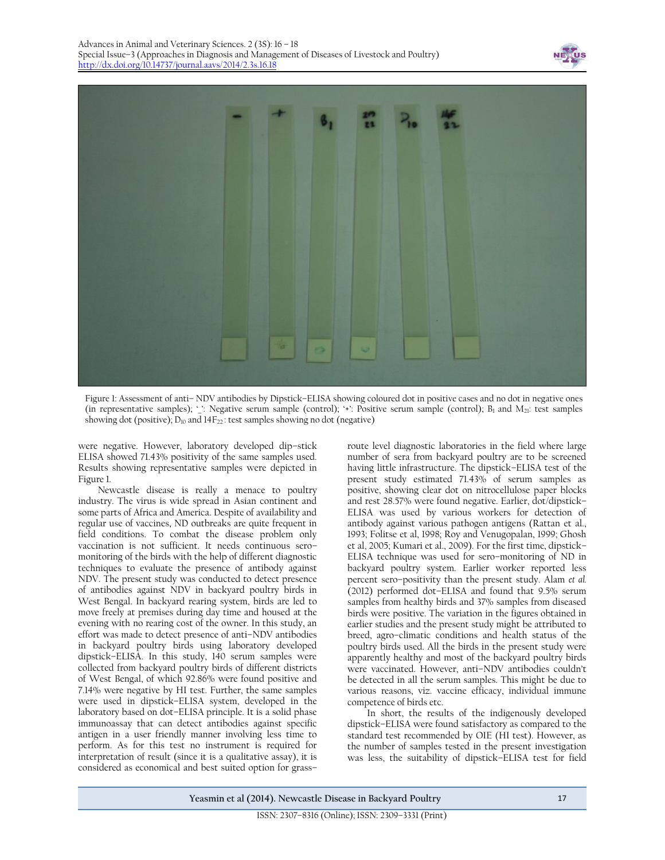



Figure 1: Assessment of anti– NDV antibodies by Dipstick–ELISA showing coloured dot in positive cases and no dot in negative ones (in representative samples); '\_': Negative serum sample (control); '+': Positive serum sample (control);  $B_1$  and  $M_{21}$ : test samples showing dot (positive);  $D_{10}$  and  $14F_{22}$ : test samples showing no dot (negative)

were negative. However, laboratory developed dip–stick ELISA showed 71.43% positivity of the same samples used. Results showing representative samples were depicted in Figure 1.

Newcastle disease is really a menace to poultry industry. The virus is wide spread in Asian continent and some parts of Africa and America. Despite of availability and regular use of vaccines, ND outbreaks are quite frequent in field conditions. To combat the disease problem only vaccination is not sufficient. It needs continuous sero– monitoring of the birds with the help of different diagnostic techniques to evaluate the presence of antibody against NDV. The present study was conducted to detect presence of antibodies against NDV in backyard poultry birds in West Bengal. In backyard rearing system, birds are led to move freely at premises during day time and housed at the evening with no rearing cost of the owner. In this study, an effort was made to detect presence of anti–NDV antibodies in backyard poultry birds using laboratory developed dipstick–ELISA. In this study, 140 serum samples were collected from backyard poultry birds of different districts of West Bengal, of which 92.86% were found positive and 7.14% were negative by HI test. Further, the same samples were used in dipstick–ELISA system, developed in the laboratory based on dot–ELISA principle. It is a solid phase immunoassay that can detect antibodies against specific antigen in a user friendly manner involving less time to perform. As for this test no instrument is required for interpretation of result (since it is a qualitative assay), it is considered as economical and best suited option for grass–

route level diagnostic laboratories in the field where large number of sera from backyard poultry are to be screened having little infrastructure. The dipstick–ELISA test of the present study estimated 71.43% of serum samples as positive, showing clear dot on nitrocellulose paper blocks and rest 28.57% were found negative. Earlier, dot/dipstick– ELISA was used by various workers for detection of antibody against various pathogen antigens (Rattan et al., 1993; Folitse et al, 1998; Roy and Venugopalan, 1999; Ghosh et al, 2005; Kumari et al., 2009). For the first time, dipstick– ELISA technique was used for sero–monitoring of ND in backyard poultry system. Earlier worker reported less percent sero–positivity than the present study. Alam *et al.*  (2012) performed dot–ELISA and found that 9.5% serum samples from healthy birds and 37% samples from diseased birds were positive. The variation in the figures obtained in earlier studies and the present study might be attributed to breed, agro–climatic conditions and health status of the poultry birds used. All the birds in the present study were apparently healthy and most of the backyard poultry birds were vaccinated. However, anti–NDV antibodies couldn't be detected in all the serum samples. This might be due to various reasons, viz. vaccine efficacy, individual immune competence of birds etc.

In short, the results of the indigenously developed dipstick–ELISA were found satisfactory as compared to the standard test recommended by OIE (HI test). However, as the number of samples tested in the present investigation was less, the suitability of dipstick–ELISA test for field

**Yeasmin et al (2014). Newcastle Disease in Backyard Poultry** 17